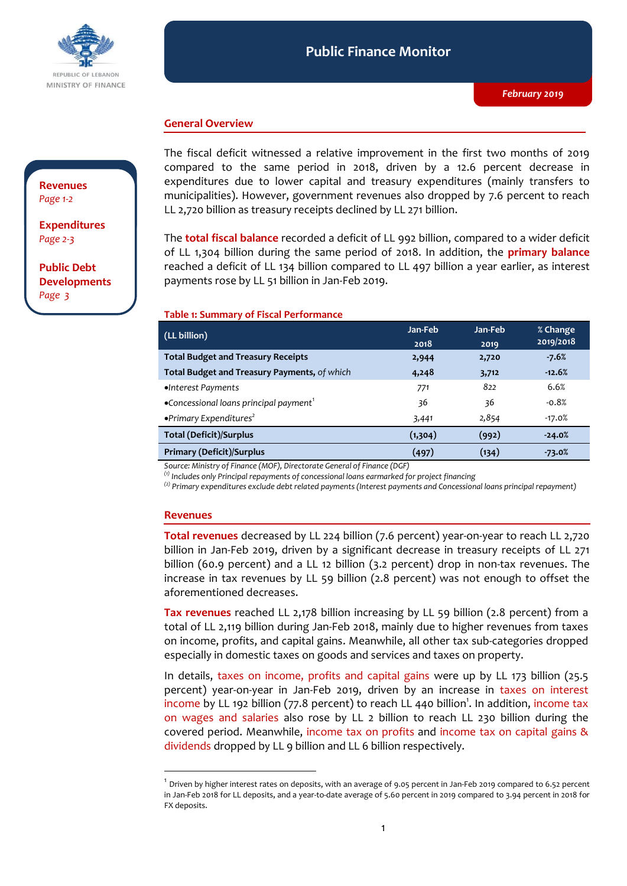

#### **Public Finance Monitor** *February 2019* **Public Finance Monitor**

### **General Overview**

## **Revenues**  *Page 1-2*

**Expenditures**  *Page 2-3*

**Public Debt Developments** *Page 3*

The fiscal deficit witnessed a relative improvement in the first two months of 2019 compared to the same period in 2018, driven by a 12.6 percent decrease in expenditures due to lower capital and treasury expenditures (mainly transfers to municipalities). However, government revenues also dropped by 7.6 percent to reach LL 2,720 billion as treasury receipts declined by LL 271 billion.

The **total fiscal balance** recorded a deficit of LL 992 billion, compared to a wider deficit of LL 1,304 billion during the same period of 2018. In addition, the **primary balance** reached a deficit of LL 134 billion compared to LL 497 billion a year earlier, as interest payments rose by LL 51 billion in Jan-Feb 2019.

#### **Table 1: Summary of Fiscal Performance**

| (LL billion)                                                | Jan-Feb  | Jan-Feb | % Change  |
|-------------------------------------------------------------|----------|---------|-----------|
|                                                             | 2018     | 2019    | 2019/2018 |
| <b>Total Budget and Treasury Receipts</b>                   | 2,944    | 2,720   | $-7.6%$   |
| Total Budget and Treasury Payments, of which                | 4,248    | 3,712   | $-12.6%$  |
| •Interest Payments                                          | 771      | 822     | 6.6%      |
| $\bullet$ Concessional loans principal payment <sup>1</sup> | 36       | 36      | $-0.8%$   |
| $\bullet$ Primary Expenditures <sup>2</sup>                 | 3,441    | 2,854   | $-17.0%$  |
| <b>Total (Deficit)/Surplus</b>                              | (1, 304) | (992)   | $-24.0%$  |
| <b>Primary (Deficit)/Surplus</b>                            | (497)    | (134)   | $-73.0%$  |
|                                                             |          |         |           |

*Source: Ministry of Finance (MOF), Directorate General of Finance (DGF)*

*(1) Includes only Principal repayments of concessional loans earmarked for project financing*

*(2) Primary expenditures exclude debt related payments (Interest payments and Concessional loans principal repayment)*

#### **Revenues**

-

**Total revenues** decreased by LL 224 billion (7.6 percent) year-on-year to reach LL 2,720 billion in Jan-Feb 2019, driven by a significant decrease in treasury receipts of LL 271 billion (60.9 percent) and a LL 12 billion (3.2 percent) drop in non-tax revenues. The increase in tax revenues by LL 59 billion (2.8 percent) was not enough to offset the aforementioned decreases.

**Tax revenues** reached LL 2,178 billion increasing by LL 59 billion (2.8 percent) from a total of LL 2,119 billion during Jan-Feb 2018, mainly due to higher revenues from taxes on income, profits, and capital gains. Meanwhile, all other tax sub-categories dropped especially in domestic taxes on goods and services and taxes on property.

In details, taxes on income, profits and capital gains were up by LL 173 billion (25.5 percent) year-on-year in Jan-Feb 2019, driven by an increase in taxes on interest income by LL 192 billion (77.8 percent) to reach LL 440 billion<sup>1</sup>. In addition, income tax on wages and salaries also rose by LL 2 billion to reach LL 230 billion during the covered period. Meanwhile, income tax on profits and income tax on capital gains & dividends dropped by LL 9 billion and LL 6 billion respectively.

 $^{\rm 1}$  Driven by higher interest rates on deposits, with an average of 9.05 percent in Jan-Feb 2019 compared to 6.52 percent in Jan-Feb 2018 for LL deposits, and a year-to-date average of 5.60 percent in 2019 compared to 3.94 percent in 2018 for FX deposits.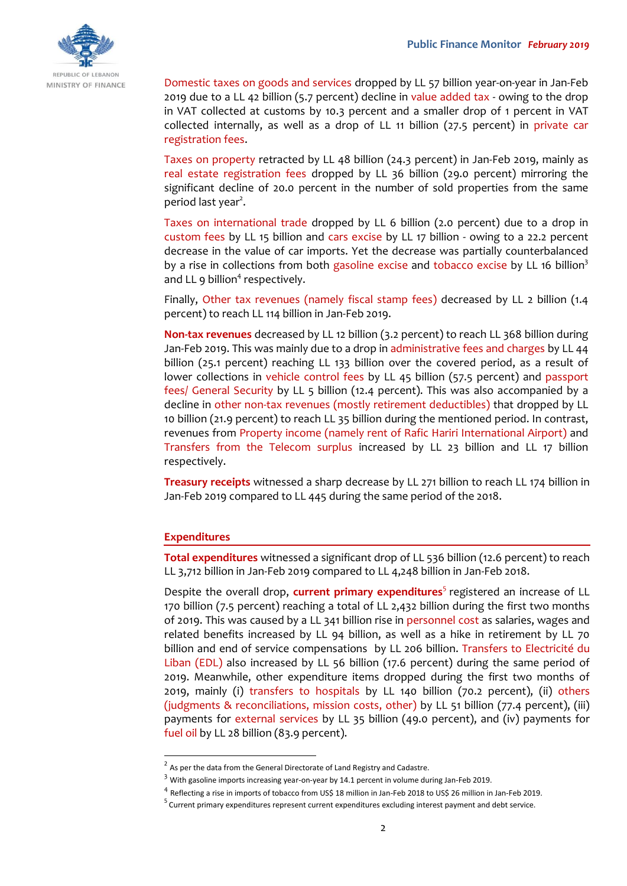

Domestic taxes on goods and services dropped by LL 57 billion year-on-year in Jan-Feb 2019 due to a LL 42 billion (5.7 percent) decline in value added tax - owing to the drop in VAT collected at customs by 10.3 percent and a smaller drop of 1 percent in VAT collected internally, as well as a drop of LL 11 billion (27.5 percent) in private car registration fees.

Taxes on property retracted by LL 48 billion (24.3 percent) in Jan-Feb 2019, mainly as real estate registration fees dropped by LL 36 billion (29.0 percent) mirroring the significant decline of 20.0 percent in the number of sold properties from the same period last year<sup>2</sup>.

Taxes on international trade dropped by LL 6 billion (2.0 percent) due to a drop in custom fees by LL 15 billion and cars excise by LL 17 billion - owing to a 22.2 percent decrease in the value of car imports. Yet the decrease was partially counterbalanced by a rise in collections from both gasoline excise and tobacco excise by LL 16 billion<sup>3</sup> and LL  $9$  billion<sup>4</sup> respectively.

Finally, Other tax revenues (namely fiscal stamp fees) decreased by LL 2 billion (1.4 percent) to reach LL 114 billion in Jan-Feb 2019.

**Non-tax revenues** decreased by LL 12 billion (3.2 percent) to reach LL 368 billion during Jan-Feb 2019. This was mainly due to a drop in administrative fees and charges by LL 44 billion (25.1 percent) reaching LL 133 billion over the covered period, as a result of lower collections in vehicle control fees by LL 45 billion (57.5 percent) and passport fees/ General Security by LL 5 billion (12.4 percent). This was also accompanied by a decline in other non-tax revenues (mostly retirement deductibles) that dropped by LL 10 billion (21.9 percent) to reach LL 35 billion during the mentioned period. In contrast, revenues from Property income (namely rent of Rafic Hariri International Airport) and Transfers from the Telecom surplus increased by LL 23 billion and LL 17 billion respectively.

**Treasury receipts** witnessed a sharp decrease by LL 271 billion to reach LL 174 billion in Jan-Feb 2019 compared to LL 445 during the same period of the 2018.

#### **Expenditures**

-

**Total expenditures** witnessed a significant drop of LL 536 billion (12.6 percent) to reach LL 3,712 billion in Jan-Feb 2019 compared to LL 4,248 billion in Jan-Feb 2018.

Despite the overall drop, **current primary expenditures**<sup>5</sup> registered an increase of LL 170 billion (7.5 percent) reaching a total of LL 2,432 billion during the first two months of 2019. This was caused by a LL 341 billion rise in personnel cost as salaries, wages and related benefits increased by LL 94 billion, as well as a hike in retirement by LL 70 billion and end of service compensations by LL 206 billion. Transfers to Electricité du Liban (EDL) also increased by LL 56 billion (17.6 percent) during the same period of 2019. Meanwhile, other expenditure items dropped during the first two months of 2019, mainly (i) transfers to hospitals by LL 140 billion (70.2 percent), (ii) others (judgments & reconciliations, mission costs, other) by LL 51 billion (77.4 percent), (iii) payments for external services by LL 35 billion (49.0 percent), and (iv) payments for fuel oil by LL 28 billion (83.9 percent).

 $2$  As per the data from the General Directorate of Land Registry and Cadastre.

 $3$  With gasoline imports increasing year-on-year by 14.1 percent in volume during Jan-Feb 2019.

<sup>4</sup> Reflecting a rise in imports of tobacco from US\$ 18 million in Jan-Feb 2018 to US\$ 26 million in Jan-Feb 2019.

<sup>&</sup>lt;sup>5</sup> Current primary expenditures represent current expenditures excluding interest payment and debt service.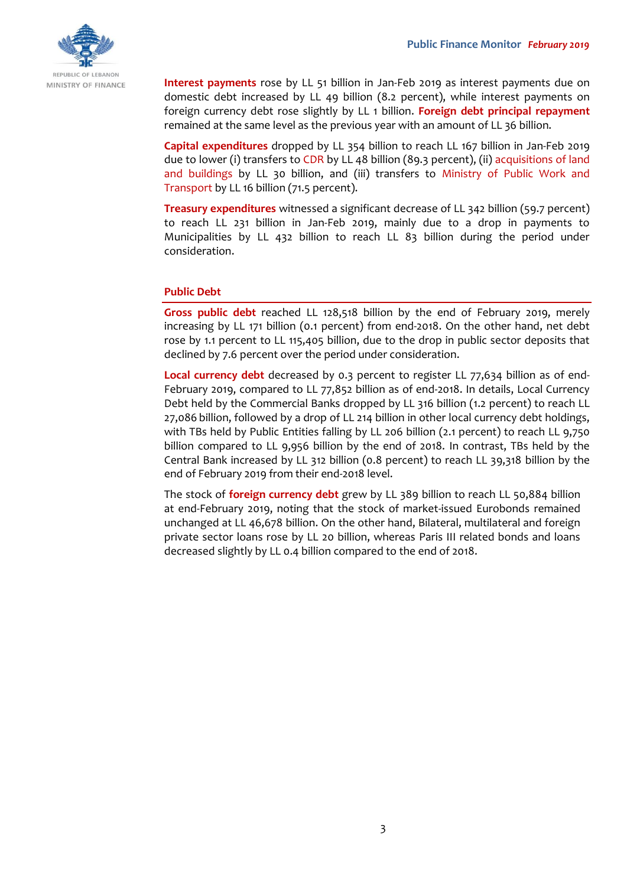

**Interest payments** rose by LL 51 billion in Jan-Feb 2019 as interest payments due on domestic debt increased by LL 49 billion (8.2 percent), while interest payments on foreign currency debt rose slightly by LL 1 billion. **Foreign debt principal repayment** remained at the same level as the previous year with an amount of LL 36 billion.

**Capital expenditures** dropped by LL 354 billion to reach LL 167 billion in Jan-Feb 2019 due to lower (i) transfers to CDR by LL 48 billion (89.3 percent), (ii) acquisitions of land and buildings by LL 30 billion, and (iii) transfers to Ministry of Public Work and Transport by LL 16 billion (71.5 percent).

**Treasury expenditures** witnessed a significant decrease of LL 342 billion (59.7 percent) to reach LL 231 billion in Jan-Feb 2019, mainly due to a drop in payments to Municipalities by LL 432 billion to reach LL 83 billion during the period under consideration.

## **Public Debt**

**Gross public debt** reached LL 128,518 billion by the end of February 2019, merely increasing by LL 171 billion (0.1 percent) from end-2018. On the other hand, net debt rose by 1.1 percent to LL 115,405 billion, due to the drop in public sector deposits that declined by 7.6 percent over the period under consideration.

**Local currency debt** decreased by 0.3 percent to register LL 77,634 billion as of end-February 2019, compared to LL 77,852 billion as of end-2018. In details, Local Currency Debt held by the Commercial Banks dropped by LL 316 billion (1.2 percent) to reach LL 27,086 billion, followed by a drop of LL 214 billion in other local currency debt holdings, with TBs held by Public Entities falling by LL 206 billion (2.1 percent) to reach LL 9,750 billion compared to LL 9,956 billion by the end of 2018. In contrast, TBs held by the Central Bank increased by LL 312 billion (0.8 percent) to reach LL 39,318 billion by the end of February 2019 from their end-2018 level.

The stock of **foreign currency debt** grew by LL 389 billion to reach LL 50,884 billion at end-February 2019, noting that the stock of market-issued Eurobonds remained unchanged at LL 46,678 billion. On the other hand, Bilateral, multilateral and foreign private sector loans rose by LL 20 billion, whereas Paris III related bonds and loans decreased slightly by LL 0.4 billion compared to the end of 2018.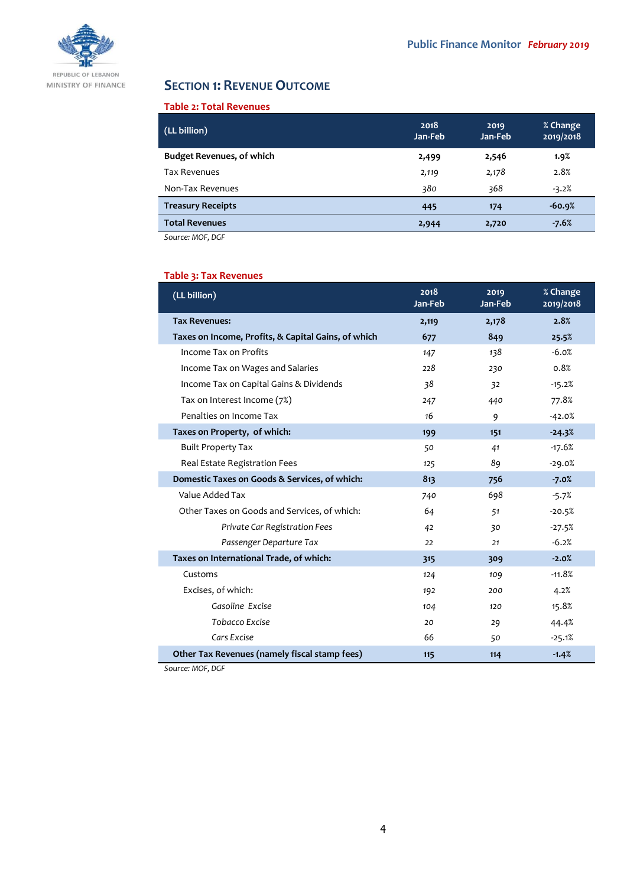

# **SECTION 1: REVENUE OUTCOME**

# **Table 2: Total Revenues**

| (LL billion)                     | 2018<br>Jan-Feb | 2019<br>Jan-Feb | % Change<br>2019/2018 |
|----------------------------------|-----------------|-----------------|-----------------------|
| <b>Budget Revenues, of which</b> | 2,499           | 2,546           | 1.9%                  |
| <b>Tax Revenues</b>              | 2,119           | 2,178           | 2.8%                  |
| Non-Tax Revenues                 | 380             | 368             | $-3.2%$               |
| <b>Treasury Receipts</b>         | 445             | 174             | $-60.9%$              |
| <b>Total Revenues</b>            | 2,944           | 2,720           | $-7.6%$               |

*Source: MOF, DGF*

Ī

# **Table 3: Tax Revenues**

| (LL billion)                                        | 2018<br>Jan-Feb | 2019<br>Jan-Feb | % Change<br>2019/2018 |
|-----------------------------------------------------|-----------------|-----------------|-----------------------|
| <b>Tax Revenues:</b>                                | 2,119           | 2,178           | 2.8%                  |
| Taxes on Income, Profits, & Capital Gains, of which | 677             | 849             | 25.5%                 |
| Income Tax on Profits                               | 147             | 138             | $-6.0%$               |
| Income Tax on Wages and Salaries                    | 228             | 230             | 0.8%                  |
| Income Tax on Capital Gains & Dividends             | 38              | 32              | $-15.2%$              |
| Tax on Interest Income (7%)                         | 247             | 440             | 77.8%                 |
| Penalties on Income Tax                             | 16              | 9               | $-42.0%$              |
| Taxes on Property, of which:                        | 199             | 151             | $-24.3%$              |
| <b>Built Property Tax</b>                           | 50              | 41              | $-17.6%$              |
| Real Estate Registration Fees                       | 125             | 89              | $-29.0%$              |
| Domestic Taxes on Goods & Services, of which:       | 813             | 756             | $-7.0%$               |
| Value Added Tax                                     | 740             | 698             | $-5.7%$               |
| Other Taxes on Goods and Services, of which:        | 64              | 51              | $-20.5%$              |
| Private Car Registration Fees                       | 42              | 30              | $-27.5%$              |
| Passenger Departure Tax                             | 22              | 21              | $-6.2%$               |
| Taxes on International Trade, of which:             | 315             | 309             | $-2.0%$               |
| Customs                                             | 124             | 109             | $-11.8%$              |
| Excises, of which:                                  | 192             | 200             | 4.2%                  |
| Gasoline Excise                                     | 104             | 120             | 15.8%                 |
| Tobacco Excise                                      | 20              | 29              | 44.4%                 |
| Cars Excise                                         | 66              | 50              | $-25.1%$              |
| Other Tax Revenues (namely fiscal stamp fees)       | 115             | 114             | $-1.4%$               |

*Source: MOF, DGF*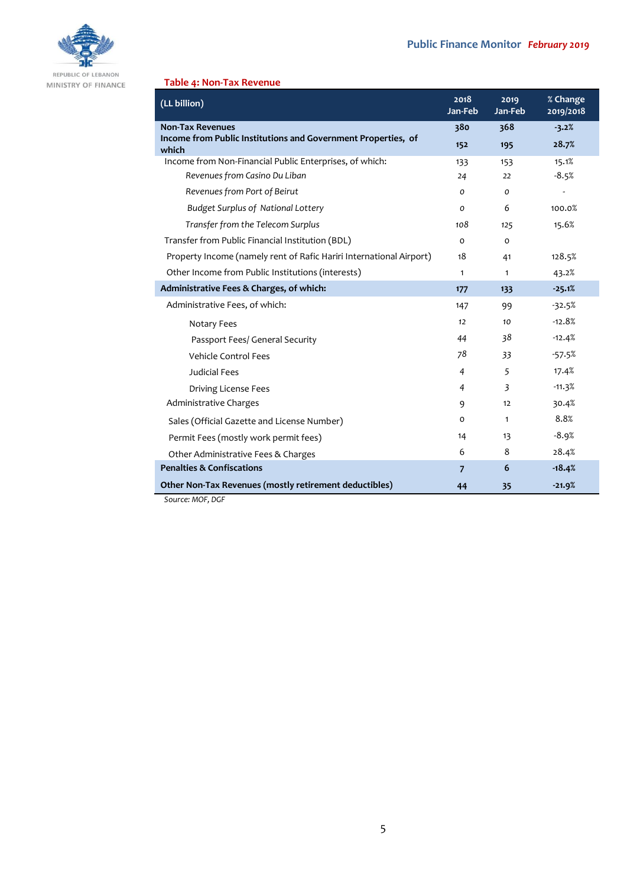

MINISTRY OF FINANCE

# **Table 4: Non-Tax Revenue**

| (LL billion)                                                           | 2018<br>Jan-Feb | 2019<br>Jan-Feb | % Change<br>2019/2018 |
|------------------------------------------------------------------------|-----------------|-----------------|-----------------------|
| <b>Non-Tax Revenues</b>                                                | 380             | 368             | $-3.2%$               |
| Income from Public Institutions and Government Properties, of<br>which | 152             | 195             | 28.7%                 |
| Income from Non-Financial Public Enterprises, of which:                | 133             | 153             | 15.1%                 |
| Revenues from Casino Du Liban                                          | 24              | 22              | $-8.5%$               |
| Revenues from Port of Beirut                                           | O               | 0               |                       |
| <b>Budget Surplus of National Lottery</b>                              | $\Omega$        | 6               | 100.0%                |
| Transfer from the Telecom Surplus                                      | 108             | 125             | 15.6%                 |
| Transfer from Public Financial Institution (BDL)                       | $\Omega$        | 0               |                       |
| Property Income (namely rent of Rafic Hariri International Airport)    | 18              | 41              | 128.5%                |
| Other Income from Public Institutions (interests)                      | $\mathbf{1}$    | $\mathbf{1}$    | 43.2%                 |
| Administrative Fees & Charges, of which:                               | 177             | 133             | $-25.1%$              |
| Administrative Fees, of which:                                         | 147             | 99              | $-32.5%$              |
| Notary Fees                                                            | 12              | 10              | $-12.8%$              |
| Passport Fees/ General Security                                        | 44              | 38              | $-12.4%$              |
| Vehicle Control Fees                                                   | 78              | 33              | $-57.5%$              |
| <b>Judicial Fees</b>                                                   | $\overline{4}$  | 5               | 17.4%                 |
| Driving License Fees                                                   | $\overline{4}$  | 3               | $-11.3%$              |
| Administrative Charges                                                 | 9               | 12              | 30.4%                 |
| Sales (Official Gazette and License Number)                            | O               | $\mathbf{1}$    | 8.8%                  |
| Permit Fees (mostly work permit fees)                                  | 14              | 13              | $-8.9%$               |
| Other Administrative Fees & Charges                                    | 6               | 8               | 28.4%                 |
| <b>Penalties &amp; Confiscations</b>                                   | $\overline{7}$  | 6               | $-18.4%$              |
| Other Non-Tax Revenues (mostly retirement deductibles)                 | 44              | 35              | $-21.9%$              |

*Source: MOF, DGF*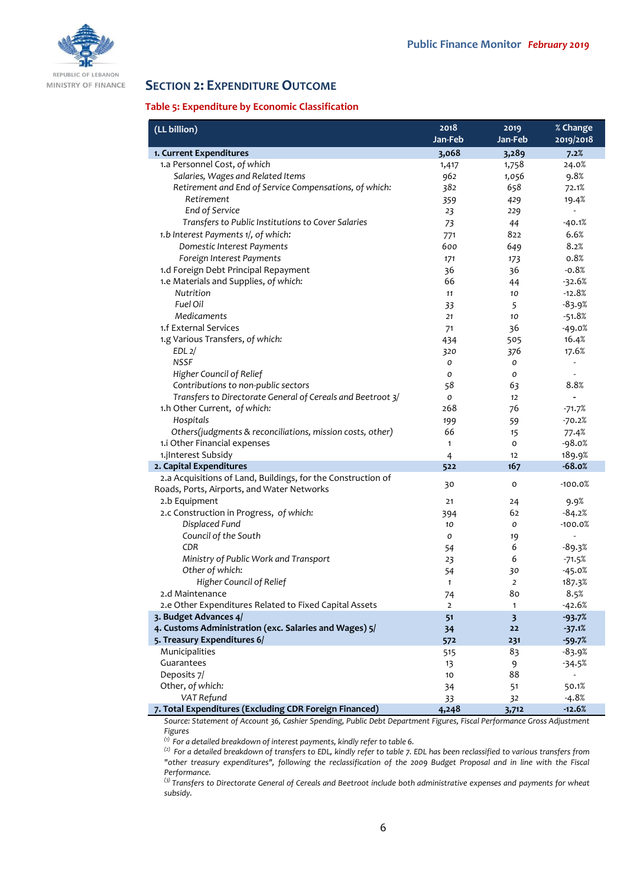

# **SECTION 2: EXPENDITURE OUTCOME**

#### **Table 5: Expenditure by Economic Classification**

| (LL billion)                                                                    | 2018<br>Jan-Feb | 2019<br>Jan-Feb               | % Change<br>2019/2018    |
|---------------------------------------------------------------------------------|-----------------|-------------------------------|--------------------------|
| 1. Current Expenditures                                                         | 3,068           | 3,289                         | 7.2%                     |
| 1.a Personnel Cost, of which                                                    | 1,417           | 1,758                         | 24.0%                    |
| Salaries, Wages and Related Items                                               | 962             | 1,056                         | 9.8%                     |
| Retirement and End of Service Compensations, of which:                          | 382             | 658                           | 72.1%                    |
| Retirement                                                                      | 359             | 429                           | 19.4%                    |
| End of Service                                                                  | 23              | 229                           | ÷                        |
| Transfers to Public Institutions to Cover Salaries                              | 73              | 44                            | $-40.1%$                 |
| 1.b Interest Payments 1/, of which:                                             | 771             | 822                           | 6.6%                     |
| Domestic Interest Payments                                                      | 600             | 649                           | 8.2%                     |
| Foreign Interest Payments                                                       | 171             | 173                           | 0.8%                     |
| 1.d Foreign Debt Principal Repayment                                            | 36              | 36                            | $-0.8%$                  |
| 1.e Materials and Supplies, of which:                                           | 66              | 44                            | $-32.6%$                 |
| Nutrition                                                                       | 11              | 10                            | $-12.8%$                 |
| Fuel Oil                                                                        | 33              | 5                             | $-83.9%$                 |
| Medicaments                                                                     | 21              | 10                            | $-51.8%$                 |
| 1.f External Services                                                           | 71              | 36                            | $-49.0%$                 |
| 1.g Various Transfers, of which:                                                | 434             | 505                           | 16.4%                    |
| EDL <sub>2</sub>                                                                | 320             | 376                           | 17.6%                    |
| <b>NSSF</b>                                                                     | O               | 0                             | $\frac{1}{2}$            |
| Higher Council of Relief                                                        | 0               | 0                             |                          |
| Contributions to non-public sectors                                             | 58              | 63                            | 8.8%                     |
| Transfers to Directorate General of Cereals and Beetroot 3/                     | 0               | 12                            | $\overline{a}$           |
| 1.h Other Current, of which:                                                    | 268             | 76                            | $-71.7%$                 |
| Hospitals                                                                       | 199             | 59                            | $-70.2%$                 |
| Others(judgments & reconciliations, mission costs, other)                       | 66              | 15                            | 77.4%                    |
| 1.i Other Financial expenses                                                    | $\mathbf{1}$    | o                             | $-98.0%$                 |
| 1.jInterest Subsidy                                                             | $\overline{4}$  | 12                            | 189.9%                   |
| 2. Capital Expenditures                                                         | 522             | 167                           | $-68.0%$                 |
| 2.a Acquisitions of Land, Buildings, for the Construction of                    | 30              | O                             | $-100.0%$                |
| Roads, Ports, Airports, and Water Networks                                      |                 |                               |                          |
| 2.b Equipment                                                                   | 21              | 24                            | 9.9%                     |
| 2.c Construction in Progress, of which:                                         | 394             | 62                            | $-84.2%$                 |
| Displaced Fund                                                                  | 10              | 0                             | $-100.0%$                |
| Council of the South                                                            | 0               | 19                            | $\overline{\phantom{a}}$ |
| CDR                                                                             | 54              | 6                             | $-89.3%$                 |
| Ministry of Public Work and Transport                                           | 23              | 6                             | $-71.5%$                 |
| Other of which:                                                                 | 54              | 30                            | $-45.0%$                 |
| Higher Council of Relief                                                        | $\mathbf{1}$    | 2                             | 187.3%                   |
| 2.d Maintenance                                                                 | 74              | 80                            | 8.5%                     |
| 2.e Other Expenditures Related to Fixed Capital Assets<br>3. Budget Advances 4/ | $\overline{2}$  | 1                             | $-42.6%$                 |
| 4. Customs Administration (exc. Salaries and Wages) 5/                          | 51              | $\overline{\mathbf{3}}$<br>22 | $-93.7%$                 |
| 5. Treasury Expenditures 6/                                                     | 34<br>572       | 231                           | $-37.1%$<br>$-59.7%$     |
| Municipalities                                                                  | 515             | 83                            | -83.9%                   |
| Guarantees                                                                      | 13              |                               | -34.5%                   |
| Deposits 7/                                                                     | 10              | 9<br>88                       | $\overline{a}$           |
| Other, of which:                                                                | 34              | 51                            | 50.1%                    |
| VAT Refund                                                                      | 33              | 32                            | $-4.8%$                  |
| 7. Total Expenditures (Excluding CDR Foreign Financed)                          | 4,248           | 3,712                         | $-12.6%$                 |

Source: Statement of Account 36, Cashier Spending, Public Debt Department Figures, Fiscal Performance Gross Adjustment *Figures*

*(1) For a detailed breakdown of interest payments, kindly refer to table 6.*

*(2) For a detailed breakdown of transfers to EDL, kindly refer to table 7. EDL has been reclassified to various transfers from "other treasury expenditures", following the reclassification of the 2009 Budget Proposal and in line with the Fiscal Performance.*

*(3) Transfers to Directorate General of Cereals and Beetroot include both administrative expenses and payments for wheat subsidy.*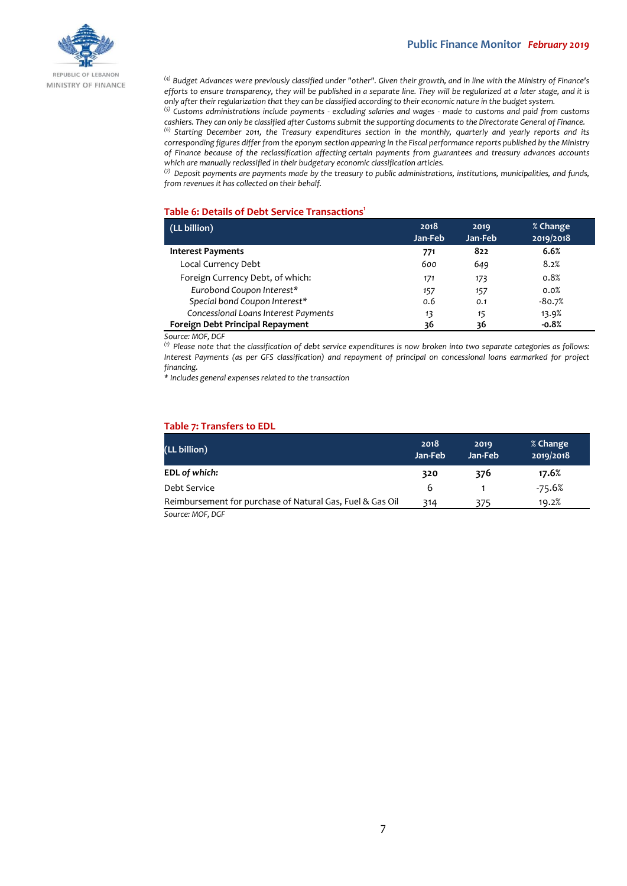

*(4) Budget Advances were previously classified under "other". Given their growth, and in line with the Ministry of Finance's efforts to ensure transparency, they will be published in a separate line. They will be regularized at a later stage, and it is only after their regularization that they can be classified according to their economic nature in the budget system.*

*(5) Customs administrations include payments - excluding salaries and wages - made to customs and paid from customs cashiers. They can only be classified after Customs submit the supporting documents to the Directorate General of Finance.*

*(6) Starting December 2011, the Treasury expenditures section in the monthly, quarterly and yearly reports and its corresponding figures differ from the eponym section appearing in the Fiscal performance reports published by the Ministry of Finance because of the reclassification affecting certain payments from guarantees and treasury advances accounts which are manually reclassified in their budgetary economic classification articles.*

*(7) Deposit payments are payments made by the treasury to public administrations, institutions, municipalities, and funds, from revenues it has collected on their behalf.*

#### **Table 6: Details of Debt Service Transactions<sup>1</sup>**

| (LL billion)                         | 2018<br>Jan-Feb | 2019<br>Jan-Feb | % Change<br>2019/2018 |
|--------------------------------------|-----------------|-----------------|-----------------------|
| <b>Interest Payments</b>             | 771             | 822             | 6.6%                  |
| Local Currency Debt                  | 600             | 649             | 8.2%                  |
| Foreign Currency Debt, of which:     | 171             | 173             | 0.8%                  |
| Eurobond Coupon Interest*            | 157             | 157             | 0.0%                  |
| Special bond Coupon Interest*        | 0.6             | 0.1             | $-80.7%$              |
| Concessional Loans Interest Payments | 13              | 15              | 13.9%                 |
| Foreign Debt Principal Repayment     | 36              | 36              | $-0.8%$               |

*Source: MOF, DGF*

*(1) Please note that the classification of debt service expenditures is now broken into two separate categories as follows: Interest Payments (as per GFS classification) and repayment of principal on concessional loans earmarked for project financing.*

*\* Includes general expenses related to the transaction*

#### **Table 7: Transfers to EDL**

| (LL billion)                                              | 2018<br>Jan-Feb | 2019<br>Jan-Feb | % Change<br>2019/2018 |  |
|-----------------------------------------------------------|-----------------|-----------------|-----------------------|--|
| EDL of which:                                             | 320             | 376             | 17.6%                 |  |
| Debt Service                                              | 6               |                 | $-75.6%$              |  |
| Reimbursement for purchase of Natural Gas, Fuel & Gas Oil | 314             | 375             | 19.2%                 |  |
| $C_{\text{max}}$ . MOF BEE                                |                 |                 |                       |  |

*Source: MOF, DGF*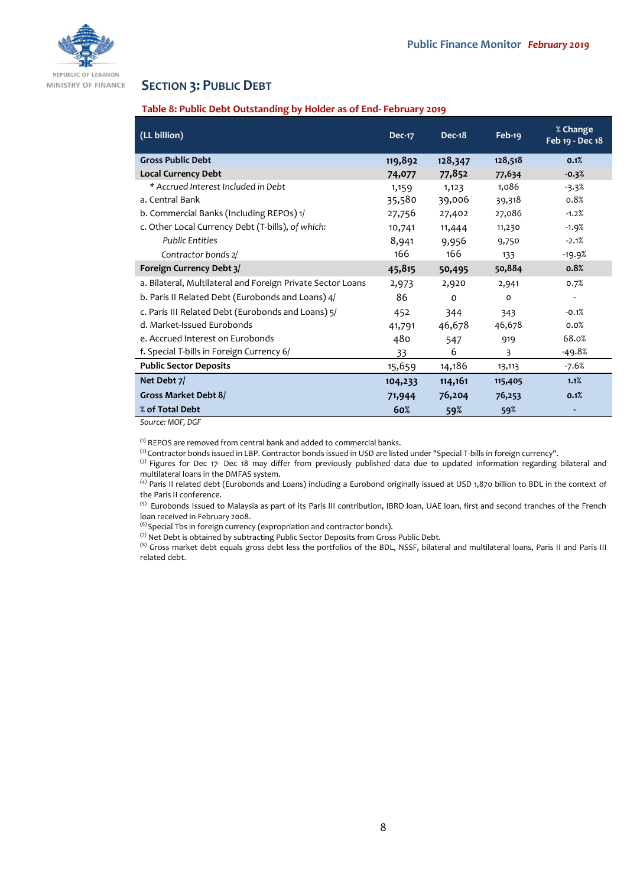

# **SECTION 3: PUBLIC DEBT**

#### **Table 8: Public Debt Outstanding by Holder as of End- February 2019**

| (LL billion)                                                | <b>Dec-17</b> | <b>Dec-18</b> | Feb-19       | % Change<br>Feb 19 - Dec 18 |
|-------------------------------------------------------------|---------------|---------------|--------------|-----------------------------|
| <b>Gross Public Debt</b>                                    | 119,892       | 128,347       | 128,518      | 0.1%                        |
| <b>Local Currency Debt</b>                                  | 74,077        | 77,852        | 77,634       | $-0.3%$                     |
| * Accrued Interest Included in Debt                         | 1,159         | 1,123         | 1,086        | $-3.3%$                     |
| a. Central Bank                                             | 35,580        | 39,006        | 39,318       | 0.8%                        |
| b. Commercial Banks (Including REPOs) 1/                    | 27,756        | 27,402        | 27,086       | $-1.2%$                     |
| c. Other Local Currency Debt (T-bills), of which:           | 10,741        | 11,444        | 11,230       | $-1.9%$                     |
| <b>Public Entities</b>                                      | 8,941         | 9,956         | 9,750        | $-2.1%$                     |
| Contractor bonds 2/                                         | 166           | 166           | 133          | $-19.9%$                    |
| Foreign Currency Debt 3/                                    | 45,815        | 50,495        | 50,884       | 0.8%                        |
| a. Bilateral, Multilateral and Foreign Private Sector Loans | 2,973         | 2,920         | 2,941        | 0.7%                        |
| b. Paris II Related Debt (Eurobonds and Loans) 4/           | 86            | $\Omega$      | $\mathbf{o}$ | $\overline{\phantom{a}}$    |
| c. Paris III Related Debt (Eurobonds and Loans) 5/          | 452           | 344           | 343          | $-0.1%$                     |
| d. Market-Issued Eurobonds                                  | 41,791        | 46,678        | 46,678       | 0.0%                        |
| e. Accrued Interest on Eurobonds                            | 480           | 547           | 919          | 68.0%                       |
| f. Special T-bills in Foreign Currency 6/                   | 33            | 6             | 3            | $-49.8%$                    |
| <b>Public Sector Deposits</b>                               | 15,659        | 14,186        | 13,113       | $-7.6%$                     |
| Net Debt 7/                                                 | 104,233       | 114,161       | 115,405      | 1.1%                        |
| Gross Market Debt 8/                                        | 71,944        | 76,204        | 76,253       | 0.1%                        |
| % of Total Debt                                             | 60%           | 59%           | 59%          |                             |

*Source: MOF, DGF*

 $<sup>(1)</sup>$  REPOS are removed from central bank and added to commercial banks.</sup>

(2) Contractor bonds issued in LBP. Contractor bonds issued in USD are listed under "Special T-bills in foreign currency".

<sup>(3)</sup> Figures for Dec 17- Dec 18 may differ from previously published data due to updated information regarding bilateral and multilateral loans in the DMFAS system.

<sup>(4)</sup> Paris II related debt (Eurobonds and Loans) including a Eurobond originally issued at USD 1,870 billion to BDL in the context of the Paris II conference.

<sup>(5)</sup> Eurobonds Issued to Malaysia as part of its Paris III contribution, IBRD loan, UAE loan, first and second tranches of the French loan received in February 2008.

<sup>(6)</sup> Special Tbs in foreign currency (expropriation and contractor bonds).

(7) Net Debt is obtained by subtracting Public Sector Deposits from Gross Public Debt.

(8) Gross market debt equals gross debt less the portfolios of the BDL, NSSF, bilateral and multilateral loans, Paris II and Paris III related debt.